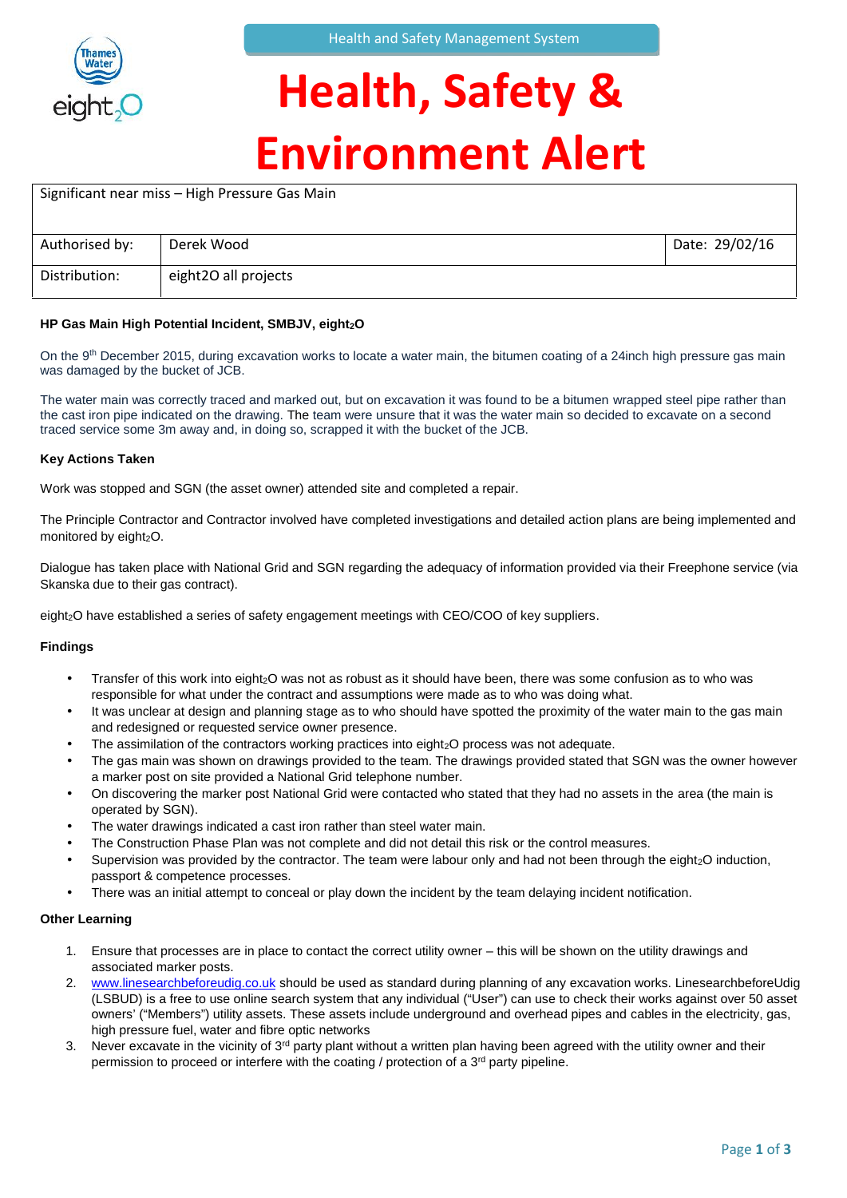

### **Health, Safety & Environment Alert**

| Significant near miss - High Pressure Gas Main |                      |                |  |
|------------------------------------------------|----------------------|----------------|--|
| Authorised by:                                 | Derek Wood           | Date: 29/02/16 |  |
| Distribution:                                  | eight2O all projects |                |  |

### **HP Gas Main High Potential Incident, SMBJV, eight2O**

On the 9<sup>th</sup> December 2015, during excavation works to locate a water main, the bitumen coating of a 24inch high pressure gas main was damaged by the bucket of JCB.

The water main was correctly traced and marked out, but on excavation it was found to be a bitumen wrapped steel pipe rather than the cast iron pipe indicated on the drawing. The team were unsure that it was the water main so decided to excavate on a second traced service some 3m away and, in doing so, scrapped it with the bucket of the JCB.

#### **Key Actions Taken**

Work was stopped and SGN (the asset owner) attended site and completed a repair.

The Principle Contractor and Contractor involved have completed investigations and detailed action plans are being implemented and monitored by eight<sub>2</sub>O.

Dialogue has taken place with National Grid and SGN regarding the adequacy of information provided via their Freephone service (via Skanska due to their gas contract).

eight<sub>2</sub>O have established a series of safety engagement meetings with CEO/COO of key suppliers.

#### **Findings**

- Transfer of this work into eight<sub>2</sub>O was not as robust as it should have been, there was some confusion as to who was responsible for what under the contract and assumptions were made as to who was doing what.
- It was unclear at design and planning stage as to who should have spotted the proximity of the water main to the gas main and redesigned or requested service owner presence.
- The assimilation of the contractors working practices into eight<sub>2</sub>O process was not adequate.
- The gas main was shown on drawings provided to the team. The drawings provided stated that SGN was the owner however a marker post on site provided a National Grid telephone number.
- On discovering the marker post National Grid were contacted who stated that they had no assets in the area (the main is operated by SGN).
- The water drawings indicated a cast iron rather than steel water main.
- The Construction Phase Plan was not complete and did not detail this risk or the control measures.
- Supervision was provided by the contractor. The team were labour only and had not been through the eight<sub>2</sub>O induction, passport & competence processes.
- There was an initial attempt to conceal or play down the incident by the team delaying incident notification.

#### **Other Learning**

- 1. Ensure that processes are in place to contact the correct utility owner this will be shown on the utility drawings and associated marker posts.
- 2. www.linesearchbeforeudig.co.uk should be used as standard during planning of any excavation works. LinesearchbeforeUdig (LSBUD) is a free to use online search system that any individual ("User") can use to check their works against over 50 asset owners' ("Members") utility assets. These assets include underground and overhead pipes and cables in the electricity, gas, high pressure fuel, water and fibre optic networks
- 3. Never excavate in the vicinity of 3<sup>rd</sup> party plant without a written plan having been agreed with the utility owner and their permission to proceed or interfere with the coating / protection of a 3<sup>rd</sup> party pipeline.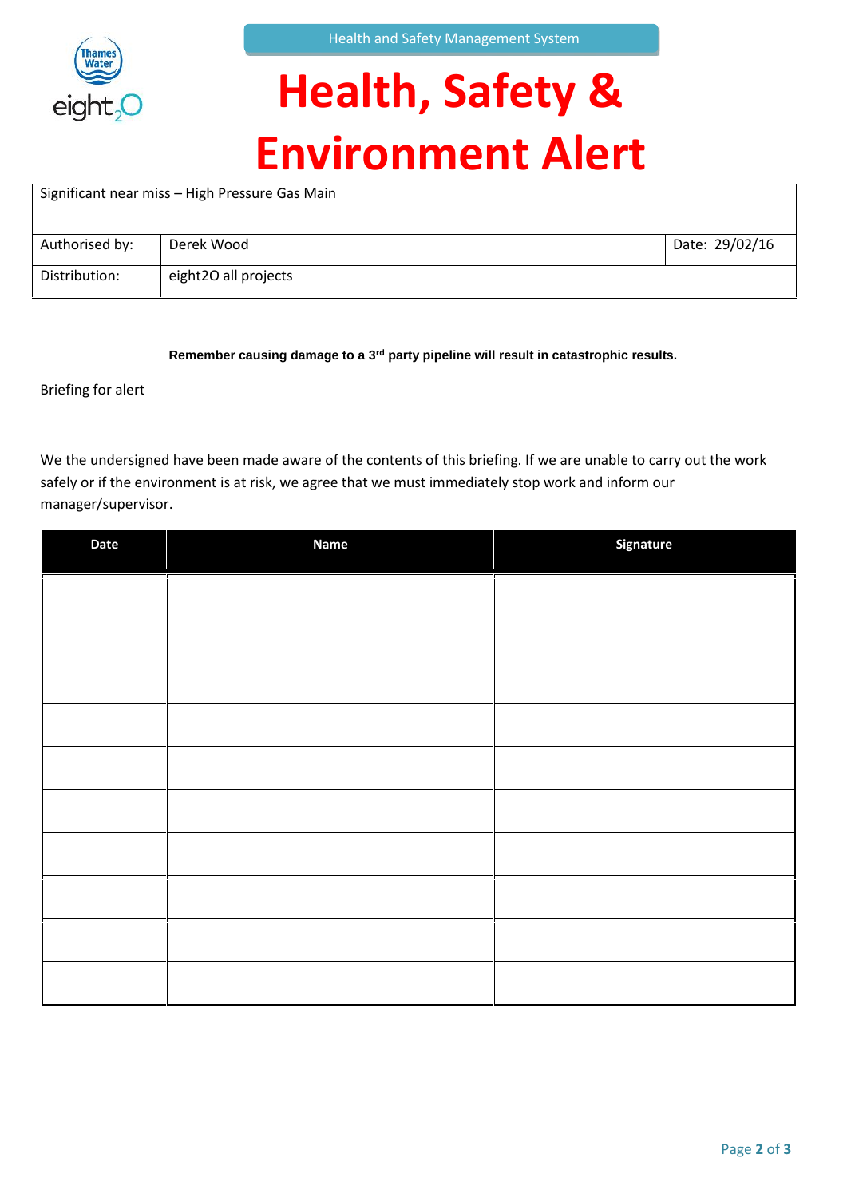

# **Health, Safety & Environment Alert**

| Significant near miss - High Pressure Gas Main |                      |                |  |  |
|------------------------------------------------|----------------------|----------------|--|--|
| Authorised by:                                 | Derek Wood           | Date: 29/02/16 |  |  |
| Distribution:                                  | eight2O all projects |                |  |  |

**Remember causing damage to a 3rd party pipeline will result in catastrophic results.**

Briefing for alert

We the undersigned have been made aware of the contents of this briefing. If we are unable to carry out the work safely or if the environment is at risk, we agree that we must immediately stop work and inform our manager/supervisor.

| Date | <b>Name</b> | Signature |
|------|-------------|-----------|
|      |             |           |
|      |             |           |
|      |             |           |
|      |             |           |
|      |             |           |
|      |             |           |
|      |             |           |
|      |             |           |
|      |             |           |
|      |             |           |